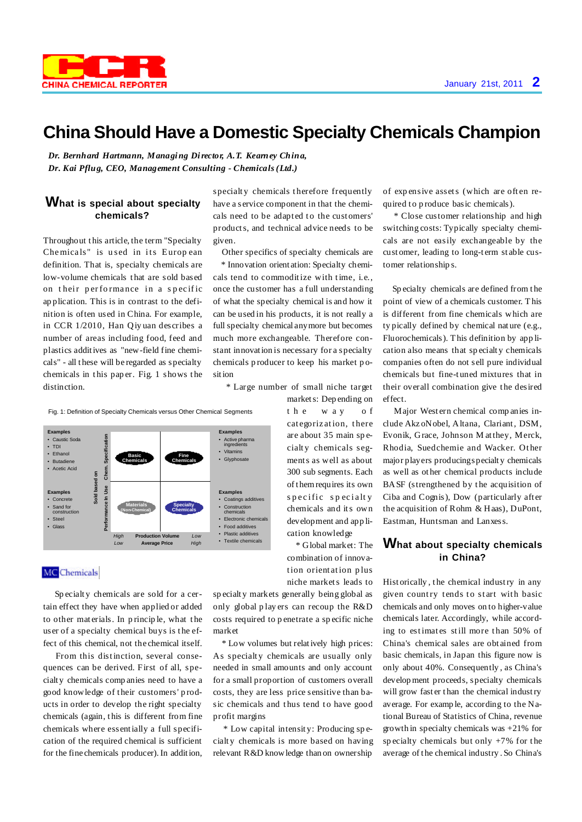# **China Should Have a Domestic Specialty Chemicals Champion**

*Dr. Bernhard Hartmann, Managing Director, A.T. Kearney China, Dr. Kai Pflug, CEO, Management Consulting - Chemicals(Ltd.)*

## **What is special about specialty chemicals?**

Throughout t his article, the term "Specialty Chemicals" is used in its European definition. That is, specialty chemicals are low-volume chemicals t hat are sold based on their performance in a specific ap plication. This is in contrast to the definition is often used in China. For example, in CCR 1/2010, Han Qiy uan describes a number of areas including food, feed and plastics additives as "new-field fine chemicals" - all t hese will be regarded as specialty chemicals in t his pap er. Fig. 1 shows t he distinction.

specialty chemicals therefore frequently have a service component in that the chemicals need to be adapted to the customers' products, and technical advice needs to be given.

Other specifics of specialty chemicals are

\* Innovation orient ation: Specialty chemicals tend to commoditize with time, i.e., once the customer has a full understanding of what the specialty chemical is and how it can be used in his products, it is not really a full specialty chemical anymore but becomes much more exchangeable. Therefore constant innovation is necessary for a specialty chemicals p roducer to keep his market p osition

\* Large number of small niche target

markets: Dep ending on t h e w a y o f categorization, there are about 35 main sp ecialty chemicals segments as well as about 300 sub segments. Each of t hemrequires its own s p e c ific s p e c i alt y chemicals and its own development and app lication knowledge

\* Global market: The combination of innovation orient ation p lus niche markets leads to of expensive assets (which are often required to p roduce basic chemicals).

\* Close customer relationship and high switching costs: Typically specialty chemicals are not easily exchangeable by the cust omer, leading to long-t erm st able customer relationship s.

Sp ecialty chemicals are defined from t he point of view of a chemicals customer. This is different from fine chemicals which are ty pically defined by chemical nat ure (e.g., Fluorochemicals). This definition by app lication also means that sp ecialt y chemicals companies often do not sell pure individual chemicals but fine-t uned mixtures that in their overall combination give the desired effect.

Major West ern chemical comp anies include Akz oNobel, Altana, Clariant, DSM, Evonik, Grace, Johnson M atthey, Merck, Rhodia, Suedchemie and Wacker. Ot her major players producingspecialt y chemicals as well as ot her chemical products include BASF (strengthened by the acquisition of Ciba and Cognis), Dow (particularly aft er the acquisition of Rohm & Haas), DuPont, Eastman, Huntsman and Lanxess.

### **What about specialty chemicals in China?**

Hist orically , t he chemical industry in any given country tends to start with basic chemicals and only moves on to higher-value chemicals later. Accordingly, while according to estimates still more than 50% of China's chemical sales are obt ained from basic chemicals, in Japan this figure now is only about 40%. Consequently , as China's develop ment proceeds, specialty chemicals will grow fast er than the chemical industry average. For examp le, according to the National Bureau of Statistics of China, revenue growth in specialty chemicals was +21% for specialty chemicals but only  $+7%$  for the average of t he chemical industry . So China's

Fig. 1: Definition of Specialty Chemicals versus Other Chemical Segments



#### **MC** Chemicals

Sp ecialt y chemicals are sold for a certain effect they have when applied or added to other materials. In principle, what the user of a specialty chemical buys is the effect of this chemical, not the chemical itself.

From this distinction, several consequences can be derived. First of all, specialt y chemicals comp anies need to have a good knowledge of t heir customers' p roducts in order to develop the right specialty chemicals (again, t his is different from fine chemicals where essentially a full specification of the required chemical is sufficient for the fine chemicals producer). In addition,

sp ecialt y markets generally being global as only global p lay ers can recoup the R&D costs required to p enetrate a sp ecific niche market

\* Low volumes but relatively high prices: As specialty chemicals are usually only needed in small amounts and only account for a small proportion of customers overall costs, they are less price sensitive than basic chemicals and thus tend to have good profit margins

\* Low capital intensit y: Producing sp ecialty chemicals is more based on having relevant R&D knowledge than on ownership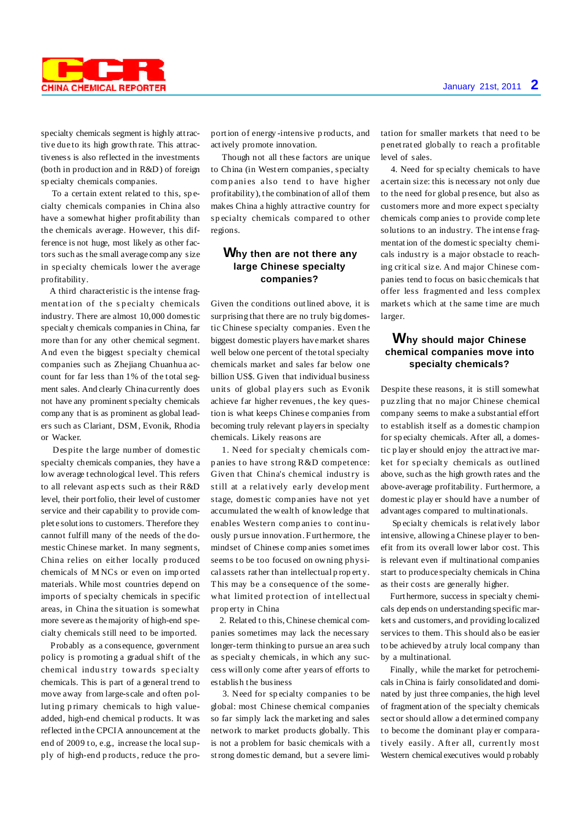

specialty chemicals segment is highly attractive due to its high growth rate. This attractiveness is also reflected in the investments (both in production and in R&D) of foreign sp ecialty chemicals companies.

To a certain extent related to this, specialty chemicals companies in China also have a somewhat higher profit ability than the chemicals average. However, t his difference is not huge, most likely as other factors such as t he small average comp any size in specialty chemicals lower the average profitability.

A third charact eristic is the intense fragmentation of the specialty chemicals industry. There are almost 10,000 domestic specialt y chemicals companiesin China, far more than for any other chemical segment. And even the biggest specialty chemical companies such as Zhejiang Chuanhua account for far less than 1% of the total segment sales. And clearly China currently does not have any prominent specialty chemicals comp any that is as prominent as global leaders such as Clariant, DSM, Evonik, Rhodia or Wacker.

Despite the large number of domestic specialty chemicals companies, they have a low average t echnological level. This refers to all relevant asp ects such as t heir R&D level, their portfolio, their level of customer service and their capabilit y to provide complet e solutions to customers. Therefore they cannot fulfill many of the needs of the domestic Chinese market. In many segments, China relies on eit her locally p roduced chemicals of M NCs or even on imp orted materials. While most countries depend on imports of specialty chemicals in specific areas, in China the sit uation is somewhat more severe as t hemajority of high-end specialt y chemicals still need to be imported.

Probably as a consequence, government policy is promoting a gradual shift of the chemical industry towards specialty chemicals. This is part of a general trend to move away from large-scale and often polluting p rimary chemicals to high valueadded, high-end chemical p roducts. It was reflected in the CPCIA announcement at the end of 2009 to, e.g., increase the local supply of high-end p roducts, reduce t he proportion of energy -intensive p roducts, and actively promote innovation.

Though not all these factors are unique to China (in West ern companies, specialty companies also tend to have higher profitability), t he combination of all of them makes China a highly attractive country for specialty chemicals compared to other regions.

## **Why then are not there any large Chinese specialty companies?**

Given the conditions outlined above, it is surprising that there are no truly big domestic Chinese specialty companies. Even t he biggest domestic players havemarket shares well below one percent of the total specialty chemicals market and sales far below one billion US\$. Given that individual business units of global play ers such as Evonik achieve far higher revenues, t he key question is what keeps Chinese companies from becoming truly relevant p layers in specialty chemicals. Likely reasons are

1. Need for specialty chemicals comp anies to have strong R&D competence: Given that China's chemical industry is still at a relatively early develop ment stage, domestic comp anies have not yet accumulated the wealt h of knowledge that enables Western companies to continuously p ursue innovation. Furt hermore, t he mindset of Chinese comp anies sometimes seems to be too focused on owning physical assets rat her than intellectual p rop ert y. This may be a consequence of the somewhat limited protection of intellectual prop erty in China

2. Related to this, Chinese chemical companies sometimes may lack the necessary longer-term thinking to pursue an area such as specialty chemicals, in which any success will only come after years of efforts to establish t he business

3. Need for specialty companies to be global: most Chinese chemical companies so far simply lack the marketing and sales network to market products globally. This is not a problem for basic chemicals with a strong domestic demand, but a severe limitation for smaller markets that need to be p enetrated globally to reach a profitable level of sales.

4. Need for sp ecialty chemicals to have a certain size: this is necessary not only due to the need for global p resence, but also as customers more and more expect specialty chemicals companies to provide complete solutions to an industry. The int ense fragmentation of the domestic specialty chemicals industry is a major obstacle to reaching critical siz e. And major Chinese companies tend to focus on basic chemicals t hat offer less fragment ed and less complex markets which at the same time are much larger.

#### **Why should major Chinese chemical companies move into specialty chemicals?**

Despite these reasons, it is still somewhat p uz zling that no major Chinese chemical company seems to make a subst antial effort to establish itself as a domestic champion for sp ecialty chemicals. After all, a domestic p lay er should enjoy the attractive market for specialty chemicals as outlined above, such as the high growth rates and the above-average profitability. Furt hermore, a domestic play er should have a number of advant ages compared to multinationals.

Sp ecialt y chemicals is relatively labor int ensive, allowing a Chinese player to benefit from its overall lower labor cost. This is relevant even if multinational companies start to produce specialty chemicals in China as their costs are generally higher.

Furt hermore, success in specialt y chemicals dep ends on understanding specific markets and customers, and providing localized services to them. This should also be easier to be achieved by a truly local company than by a multinational.

Finally, while the market for petrochemicals inChina is fairly consolidated and dominated by just three companies, the high level of fragment ation of the specialt y chemicals sect or should allow a det ermined company to become the dominant play er comparatively easily. After all, currently most Western chemical executives would p robably